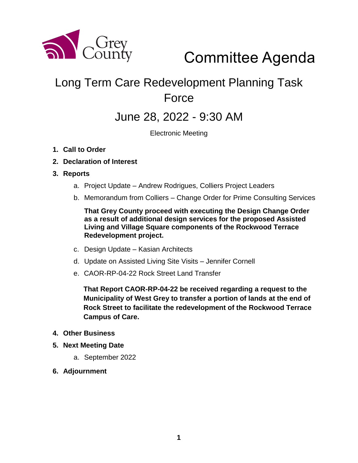

# Committee Agenda

# Long Term Care Redevelopment Planning Task Force

### June 28, 2022 - 9:30 AM

Electronic Meeting

- **1. Call to Order**
- **2. Declaration of Interest**
- **3. Reports**
	- a. Project Update Andrew Rodrigues, Colliers Project Leaders
	- b. Memorandum from Colliers Change Order for Prime Consulting Services

**That Grey County proceed with executing the Design Change Order as a result of additional design services for the proposed Assisted Living and Village Square components of the Rockwood Terrace Redevelopment project.** 

- c. Design Update Kasian Architects
- d. Update on Assisted Living Site Visits Jennifer Cornell
- e. CAOR-RP-04-22 Rock Street Land Transfer

**That Report CAOR-RP-04-22 be received regarding a request to the Municipality of West Grey to transfer a portion of lands at the end of Rock Street to facilitate the redevelopment of the Rockwood Terrace Campus of Care.**

#### **4. Other Business**

- **5. Next Meeting Date**
	- a. September 2022
- **6. Adjournment**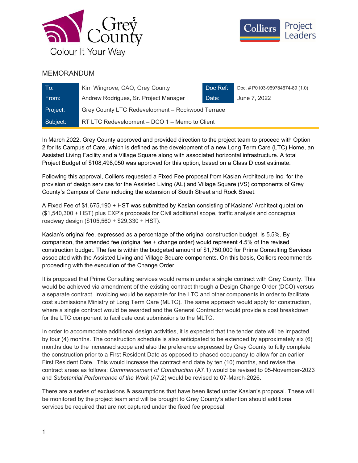



#### MEMORANDUM

| To:      | Kim Wingrove, CAO, Grey County                   | Doc Ref: | Doc. # P0103-969784674-89 (1.0) |
|----------|--------------------------------------------------|----------|---------------------------------|
| From:    | Andrew Rodrigues, Sr. Project Manager            | Date:    | June 7, 2022                    |
| Project: | Grey County LTC Redevelopment - Rockwood Terrace |          |                                 |
| Subject: | RT LTC Redevelopment – DCO 1 – Memo to Client    |          |                                 |

In March 2022, Grey County approved and provided direction to the project team to proceed with Option 2 for its Campus of Care, which is defined as the development of a new Long Term Care (LTC) Home, an Assisted Living Facility and a Village Square along with associated horizontal infrastructure. A total Project Budget of \$108,498,050 was approved for this option, based on a Class D cost estimate.

Following this approval, Colliers requested a Fixed Fee proposal from Kasian Architecture Inc. for the provision of design services for the Assisted Living (AL) and Village Square (VS) components of Grey County's Campus of Care including the extension of South Street and Rock Street.

A Fixed Fee of \$1,675,190 + HST was submitted by Kasian consisting of Kasians' Architect quotation (\$1,540,300 + HST) plus EXP's proposals for Civil additional scope, traffic analysis and conceptual roadway design (\$105,560 + \$29,330 + HST).

Kasian's original fee, expressed as a percentage of the original construction budget, is 5.5%. By comparison, the amended fee (original fee + change order) would represent 4.5% of the revised construction budget. The fee is within the budgeted amount of \$1,750,000 for Prime Consulting Services associated with the Assisted Living and Village Square components. On this basis, Colliers recommends proceeding with the execution of the Change Order.

It is proposed that Prime Consulting services would remain under a single contract with Grey County. This would be achieved via amendment of the existing contract through a Design Change Order (DCO) versus a separate contract. Invoicing would be separate for the LTC and other components in order to facilitate cost submissions Ministry of Long Term Care (MLTC). The same approach would apply for construction, where a single contract would be awarded and the General Contractor would provide a cost breakdown for the LTC component to facilicate cost submissions to the MLTC.

In order to accommodate additional design activities, it is expected that the tender date will be impacted by four (4) months. The construction schedule is also anticipated to be extended by approximately six (6) months due to the increased scope and also the preference expressed by Grey County to fully complete the construction prior to a First Resident Date as opposed to phased occupancy to allow for an earlier First Resident Date. This would increase the contract end date by ten (10) months, and revise the contract areas as follows: Commencement of Construction (A7.1) would be revised to 05-November-2023 and Substantial Performance of the Work (A7.2) would be revised to 07-March-2026.

There are a series of exclusions & assumptions that have been listed under Kasian's proposal. These will be monitored by the project team and will be brought to Grey County's attention should additional services be required that are not captured under the fixed fee proposal.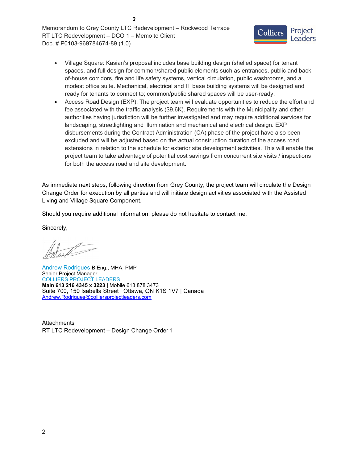Memorandum to Grey County LTC Redevelopment – Rockwood Terrace RT LTC Redevelopment – DCO 1 – Memo to Client Doc. # P0103-969784674-89 (1.0)

**3**



- Village Square: Kasian's proposal includes base building design (shelled space) for tenant spaces, and full design for common/shared public elements such as entrances, public and backof-house corridors, fire and life safety systems, vertical circulation, public washrooms, and a modest office suite. Mechanical, electrical and IT base building systems will be designed and ready for tenants to connect to; common/public shared spaces will be user-ready.
- Access Road Design (EXP): The project team will evaluate opportunities to reduce the effort and fee associated with the traffic analysis (\$9.6K). Requirements with the Municipality and other authorities having jurisdiction will be further investigated and may require additional services for landscaping, streetlighting and illumination and mechanical and electrical design. EXP disbursements during the Contract Administration (CA) phase of the project have also been excluded and will be adjusted based on the actual construction duration of the access road extensions in relation to the schedule for exterior site development activities. This will enable the project team to take advantage of potential cost savings from concurrent site visits / inspections for both the access road and site development.

As immediate next steps, following direction from Grey County, the project team will circulate the Design Change Order for execution by all parties and will initiate design activities associated with the Assisted Living and Village Square Component.

Should you require additional information, please do not hesitate to contact me.

Sincerely,

Andrew Rodrigues B.Eng., MHA, PMP Senior Project Manager COLLIERS PROJECT LEADERS Main 613 216 4345 x 3223 | Mobile 613 878 3473 Suite 700, 150 Isabella Street | Ottawa, ON K1S 1V7 | Canada Andrew.Rodrigues@colliersprojectleaders.com

**Attachments** RT LTC Redevelopment – Design Change Order 1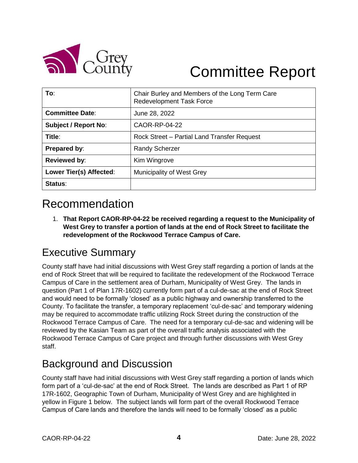

# Committee Report

| To:                         | Chair Burley and Members of the Long Term Care<br><b>Redevelopment Task Force</b> |
|-----------------------------|-----------------------------------------------------------------------------------|
| <b>Committee Date:</b>      | June 28, 2022                                                                     |
| <b>Subject / Report No:</b> | CAOR-RP-04-22                                                                     |
| Title:                      | Rock Street - Partial Land Transfer Request                                       |
| Prepared by:                | <b>Randy Scherzer</b>                                                             |
| <b>Reviewed by:</b>         | Kim Wingrove                                                                      |
| Lower Tier(s) Affected:     | Municipality of West Grey                                                         |
| Status:                     |                                                                                   |

## Recommendation

1. **That Report CAOR-RP-04-22 be received regarding a request to the Municipality of West Grey to transfer a portion of lands at the end of Rock Street to facilitate the redevelopment of the Rockwood Terrace Campus of Care.**

## Executive Summary

County staff have had initial discussions with West Grey staff regarding a portion of lands at the end of Rock Street that will be required to facilitate the redevelopment of the Rockwood Terrace Campus of Care in the settlement area of Durham, Municipality of West Grey. The lands in question (Part 1 of Plan 17R-1602) currently form part of a cul-de-sac at the end of Rock Street and would need to be formally 'closed' as a public highway and ownership transferred to the County. To facilitate the transfer, a temporary replacement 'cul-de-sac' and temporary widening may be required to accommodate traffic utilizing Rock Street during the construction of the Rockwood Terrace Campus of Care. The need for a temporary cul-de-sac and widening will be reviewed by the Kasian Team as part of the overall traffic analysis associated with the Rockwood Terrace Campus of Care project and through further discussions with West Grey staff.

### Background and Discussion

County staff have had initial discussions with West Grey staff regarding a portion of lands which form part of a 'cul-de-sac' at the end of Rock Street. The lands are described as Part 1 of RP 17R-1602, Geographic Town of Durham, Municipality of West Grey and are highlighted in yellow in Figure 1 below. The subject lands will form part of the overall Rockwood Terrace Campus of Care lands and therefore the lands will need to be formally 'closed' as a public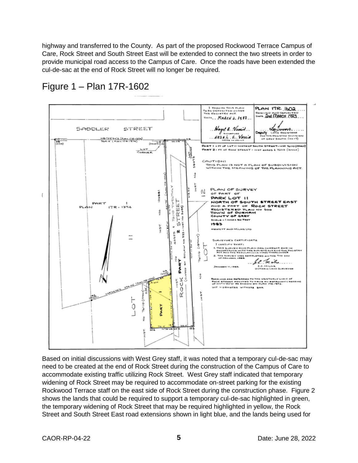highway and transferred to the County. As part of the proposed Rockwood Terrace Campus of Care, Rock Street and South Street East will be extended to connect the two streets in order to provide municipal road access to the Campus of Care. Once the roads have been extended the cul-de-sac at the end of Rock Street will no longer be required.



Figure 1 – Plan 17R-1602

Based on initial discussions with West Grey staff, it was noted that a temporary cul-de-sac may need to be created at the end of Rock Street during the construction of the Campus of Care to accommodate existing traffic utilizing Rock Street. West Grey staff indicated that temporary widening of Rock Street may be required to accommodate on-street parking for the existing Rockwood Terrace staff on the east side of Rock Street during the construction phase. Figure 2 shows the lands that could be required to support a temporary cul-de-sac highlighted in green, the temporary widening of Rock Street that may be required highlighted in yellow, the Rock Street and South Street East road extensions shown in light blue, and the lands being used for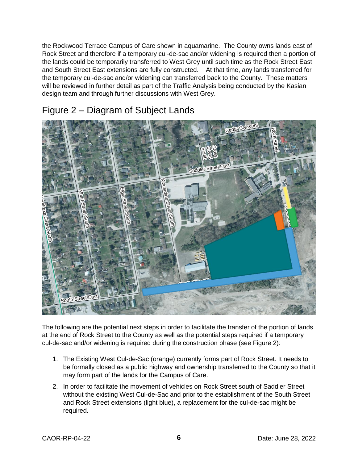the Rockwood Terrace Campus of Care shown in aquamarine. The County owns lands east of Rock Street and therefore if a temporary cul-de-sac and/or widening is required then a portion of the lands could be temporarily transferred to West Grey until such time as the Rock Street East and South Street East extensions are fully constructed. At that time, any lands transferred for the temporary cul-de-sac and/or widening can transferred back to the County. These matters will be reviewed in further detail as part of the Traffic Analysis being conducted by the Kasian design team and through further discussions with West Grey.

#### Figure 2 – Diagram of Subject Lands



The following are the potential next steps in order to facilitate the transfer of the portion of lands at the end of Rock Street to the County as well as the potential steps required if a temporary cul-de-sac and/or widening is required during the construction phase (see Figure 2):

- 1. The Existing West Cul-de-Sac (orange) currently forms part of Rock Street. It needs to be formally closed as a public highway and ownership transferred to the County so that it may form part of the lands for the Campus of Care.
- 2. In order to facilitate the movement of vehicles on Rock Street south of Saddler Street without the existing West Cul-de-Sac and prior to the establishment of the South Street and Rock Street extensions (light blue), a replacement for the cul-de-sac might be required.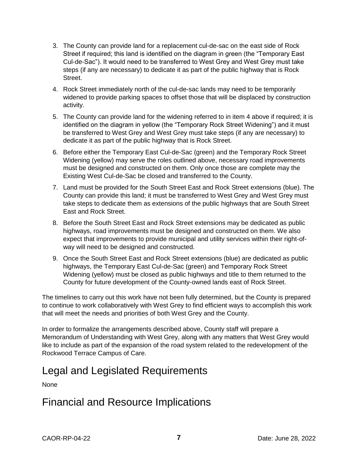- 3. The County can provide land for a replacement cul-de-sac on the east side of Rock Street if required; this land is identified on the diagram in green (the "Temporary East Cul-de-Sac"). It would need to be transferred to West Grey and West Grey must take steps (if any are necessary) to dedicate it as part of the public highway that is Rock Street.
- 4. Rock Street immediately north of the cul-de-sac lands may need to be temporarily widened to provide parking spaces to offset those that will be displaced by construction activity.
- 5. The County can provide land for the widening referred to in item 4 above if required; it is identified on the diagram in yellow (the "Temporary Rock Street Widening") and it must be transferred to West Grey and West Grey must take steps (if any are necessary) to dedicate it as part of the public highway that is Rock Street.
- 6. Before either the Temporary East Cul-de-Sac (green) and the Temporary Rock Street Widening (yellow) may serve the roles outlined above, necessary road improvements must be designed and constructed on them. Only once those are complete may the Existing West Cul-de-Sac be closed and transferred to the County.
- 7. Land must be provided for the South Street East and Rock Street extensions (blue). The County can provide this land; it must be transferred to West Grey and West Grey must take steps to dedicate them as extensions of the public highways that are South Street East and Rock Street.
- 8. Before the South Street East and Rock Street extensions may be dedicated as public highways, road improvements must be designed and constructed on them. We also expect that improvements to provide municipal and utility services within their right-ofway will need to be designed and constructed.
- 9. Once the South Street East and Rock Street extensions (blue) are dedicated as public highways, the Temporary East Cul-de-Sac (green) and Temporary Rock Street Widening (yellow) must be closed as public highways and title to them returned to the County for future development of the County-owned lands east of Rock Street.

The timelines to carry out this work have not been fully determined, but the County is prepared to continue to work collaboratively with West Grey to find efficient ways to accomplish this work that will meet the needs and priorities of both West Grey and the County.

In order to formalize the arrangements described above, County staff will prepare a Memorandum of Understanding with West Grey, along with any matters that West Grey would like to include as part of the expansion of the road system related to the redevelopment of the Rockwood Terrace Campus of Care.

#### Legal and Legislated Requirements

None

#### Financial and Resource Implications